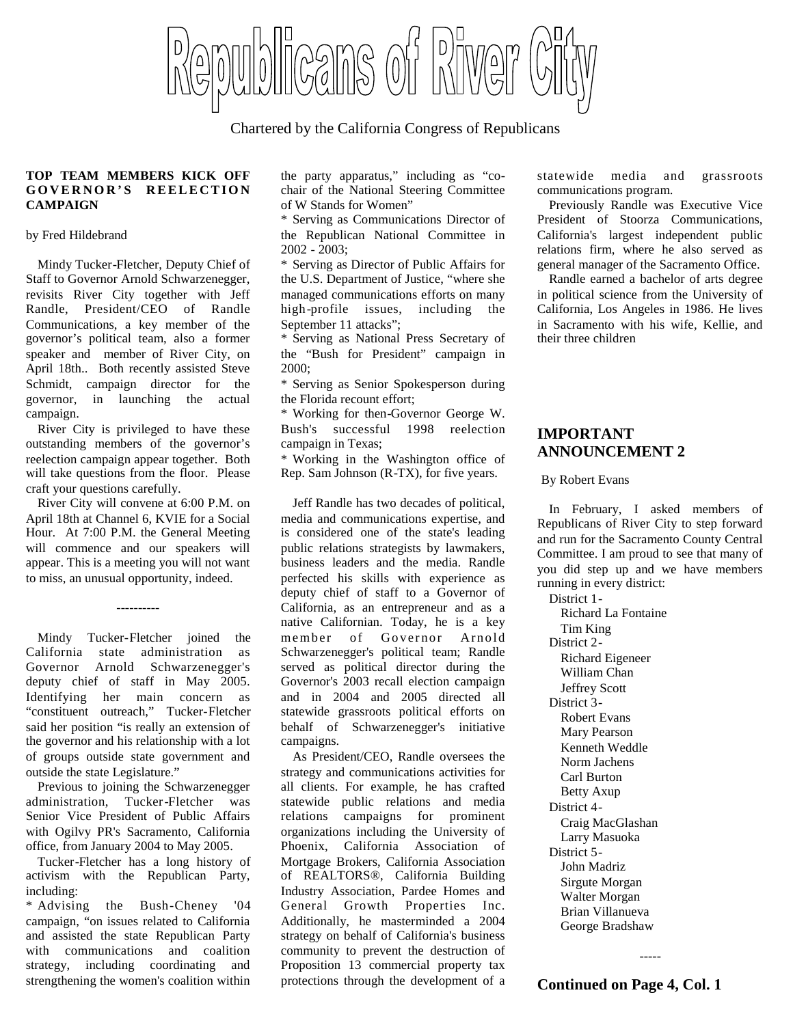blicans of River

Chartered by the California Congress of Republicans

## **TOP TEAM MEMBERS KICK OFF** GOVERNOR'S REELECTION **CAMPAIGN**

### by Fred Hildebrand

Mindy Tucker-Fletcher, Deputy Chief of Staff to Governor Arnold Schwarzenegger, revisits River City together with Jeff Randle, President/CEO of Randle Communications, a key member of the governor's political team, also a former speaker and member of River City, on April 18th.. Both recently assisted Steve Schmidt, campaign director for the governor, in launching the actual campaign.

River City is privileged to have these outstanding members of the governor's reelection campaign appear together. Both will take questions from the floor. Please craft your questions carefully.

River City will convene at 6:00 P.M. on April 18th at Channel 6, KVIE for a Social Hour. At 7:00 P.M. the General Meeting will commence and our speakers will appear. This is a meeting you will not want to miss, an unusual opportunity, indeed.

----------

Mindy Tucker-Fletcher joined the California state administration as Governor Arnold Schwarzenegger's deputy chief of staff in May 2005. Identifying her main concern as "constituent outreach," Tucker-Fletcher said her position "is really an extension of the governor and his relationship with a lot of groups outside state government and outside the state Legislature."

Previous to joining the Schwarzenegger administration, Tucker-Fletcher was Senior Vice President of Public Affairs with Ogilvy PR's Sacramento, California office, from January 2004 to May 2005.

Tucker-Fletcher has a long history of activism with the Republican Party, including:

\* Advising the Bush-Cheney '04 campaign, "on issues related to California and assisted the state Republican Party with communications and coalition strategy, including coordinating and strengthening the women's coalition within

the party apparatus," including as "cochair of the National Steering Committee of W Stands for Women"

\* Serving as Communications Director of the Republican National Committee in 2002 - 2003;

\* Serving as Director of Public Affairs for the U.S. Department of Justice, "where she managed communications efforts on many high-profile issues, including the September 11 attacks";

\* Serving as National Press Secretary of the "Bush for President" campaign in 2000;

\* Serving as Senior Spokesperson during the Florida recount effort;

\* Working for then-Governor George W. Bush's successful 1998 reelection campaign in Texas;

\* Working in the Washington office of Rep. Sam Johnson (R-TX), for five years.

Jeff Randle has two decades of political, media and communications expertise, and is considered one of the state's leading public relations strategists by lawmakers, business leaders and the media. Randle perfected his skills with experience as deputy chief of staff to a Governor of California, as an entrepreneur and as a native Californian. Today, he is a key member of Governor Arnold Schwarzenegger's political team; Randle served as political director during the Governor's 2003 recall election campaign and in 2004 and 2005 directed all statewide grassroots political efforts on behalf of Schwarzenegger's initiative campaigns.

As President/CEO, Randle oversees the strategy and communications activities for all clients. For example, he has crafted statewide public relations and media relations campaigns for prominent organizations including the University of Phoenix, California Association of Mortgage Brokers, California Association of REALTORS®, California Building Industry Association, Pardee Homes and General Growth Properties Inc. Additionally, he masterminded a 2004 strategy on behalf of California's business community to prevent the destruction of Proposition 13 commercial property tax protections through the development of a

statewide media and grassroots communications program.

Previously Randle was Executive Vice President of Stoorza Communications, California's largest independent public relations firm, where he also served as general manager of the Sacramento Office.

Randle earned a bachelor of arts degree in political science from the University of California, Los Angeles in 1986. He lives in Sacramento with his wife, Kellie, and their three children

# **IMPORTANT ANNOUNCEMENT 2**

### By Robert Evans

In February, I asked members of Republicans of River City to step forward and run for the Sacramento County Central Committee. I am proud to see that many of you did step up and we have members running in every district:

District 1- Richard La Fontaine Tim King District 2- Richard Eigeneer William Chan Jeffrey Scott District 3- Robert Evans Mary Pearson Kenneth Weddle Norm Jachens Carl Burton Betty Axup District 4- Craig MacGlashan Larry Masuoka District 5- John Madriz Sirgute Morgan Walter Morgan Brian Villanueva George Bradshaw

-----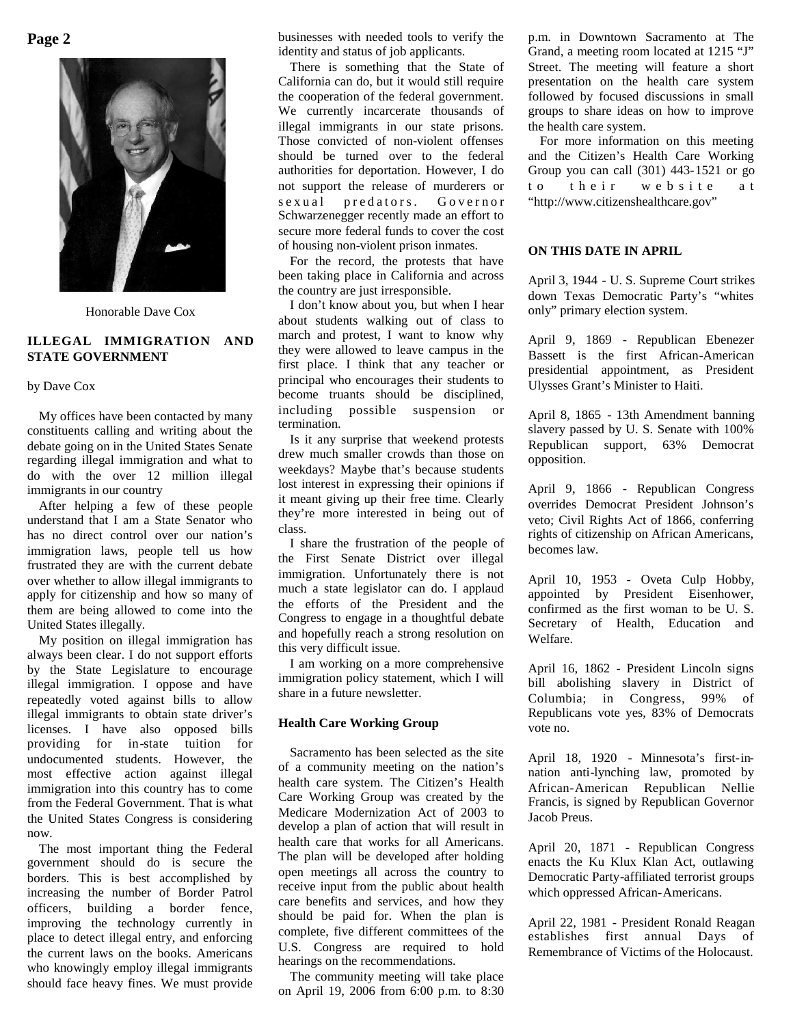

Honorable Dave Cox

## **ILLEGAL IMMIGRATION AND STATE GOVERNMENT**

### by Dave Cox

My offices have been contacted by many constituents calling and writing about the debate going on in the United States Senate regarding illegal immigration and what to do with the over 12 million illegal immigrants in our country

After helping a few of these people understand that I am a State Senator who has no direct control over our nation's immigration laws, people tell us how frustrated they are with the current debate over whether to allow illegal immigrants to apply for citizenship and how so many of them are being allowed to come into the United States illegally.

My position on illegal immigration has always been clear. I do not support efforts by the State Legislature to encourage illegal immigration. I oppose and have repeatedly voted against bills to allow illegal immigrants to obtain state driver's licenses. I have also opposed bills providing for in-state tuition for undocumented students. However, the most effective action against illegal immigration into this country has to come from the Federal Government. That is what the United States Congress is considering now.

The most important thing the Federal government should do is secure the borders. This is best accomplished by increasing the number of Border Patrol officers, building a border fence, improving the technology currently in place to detect illegal entry, and enforcing the current laws on the books. Americans who knowingly employ illegal immigrants should face heavy fines. We must provide

businesses with needed tools to verify the identity and status of job applicants.

There is something that the State of California can do, but it would still require the cooperation of the federal government. We currently incarcerate thousands of illegal immigrants in our state prisons. Those convicted of non-violent offenses should be turned over to the federal authorities for deportation. However, I do not support the release of murderers or s e x u a l pred ators. Governor Schwarzenegger recently made an effort to secure more federal funds to cover the cost of housing non-violent prison inmates.

For the record, the protests that have been taking place in California and across the country are just irresponsible.

I don't know about you, but when I hear about students walking out of class to march and protest, I want to know why they were allowed to leave campus in the first place. I think that any teacher or principal who encourages their students to become truants should be disciplined, including possible suspension or termination.

Is it any surprise that weekend protests drew much smaller crowds than those on weekdays? Maybe that's because students lost interest in expressing their opinions if it meant giving up their free time. Clearly they're more interested in being out of class.

I share the frustration of the people of the First Senate District over illegal immigration. Unfortunately there is not much a state legislator can do. I applaud the efforts of the President and the Congress to engage in a thoughtful debate and hopefully reach a strong resolution on this very difficult issue.

I am working on a more comprehensive immigration policy statement, which I will share in a future newsletter.

## **Health Care Working Group**

Sacramento has been selected as the site of a community meeting on the nation's health care system. The Citizen's Health Care Working Group was created by the Medicare Modernization Act of 2003 to develop a plan of action that will result in health care that works for all Americans. The plan will be developed after holding open meetings all across the country to receive input from the public about health care benefits and services, and how they should be paid for. When the plan is complete, five different committees of the U.S. Congress are required to hold hearings on the recommendations.

The community meeting will take place on April 19, 2006 from 6:00 p.m. to 8:30 p.m. in Downtown Sacramento at The Grand, a meeting room located at 1215 "J" Street. The meeting will feature a short presentation on the health care system followed by focused discussions in small groups to share ideas on how to improve the health care system.

For more information on this meeting and the Citizen's Health Care Working Group you can call (301) 443-1521 or go to their website at "http://www.citizenshealthcare.gov"

## **ON THIS DATE IN APRIL**

April 3, 1944 - U. S. Supreme Court strikes down Texas Democratic Party's "whites only" primary election system.

April 9, 1869 - Republican Ebenezer Bassett is the first African-American presidential appointment, as President Ulysses Grant's Minister to Haiti.

April 8, 1865 - 13th Amendment banning slavery passed by U. S. Senate with 100% Republican support, 63% Democrat opposition.

April 9, 1866 - Republican Congress overrides Democrat President Johnson's veto; Civil Rights Act of 1866, conferring rights of citizenship on African Americans, becomes law.

April 10, 1953 - Oveta Culp Hobby, appointed by President Eisenhower, confirmed as the first woman to be U. S. Secretary of Health, Education and Welfare.

April 16, 1862 - President Lincoln signs bill abolishing slavery in District of Columbia; in Congress, 99% of Republicans vote yes, 83% of Democrats vote no.

April 18, 1920 - Minnesota's first-innation anti-lynching law, promoted by African-American Republican Nellie Francis, is signed by Republican Governor Jacob Preus.

April 20, 1871 - Republican Congress enacts the Ku Klux Klan Act, outlawing Democratic Party-affiliated terrorist groups which oppressed African-Americans.

April 22, 1981 - President Ronald Reagan establishes first annual Days of Remembrance of Victims of the Holocaust.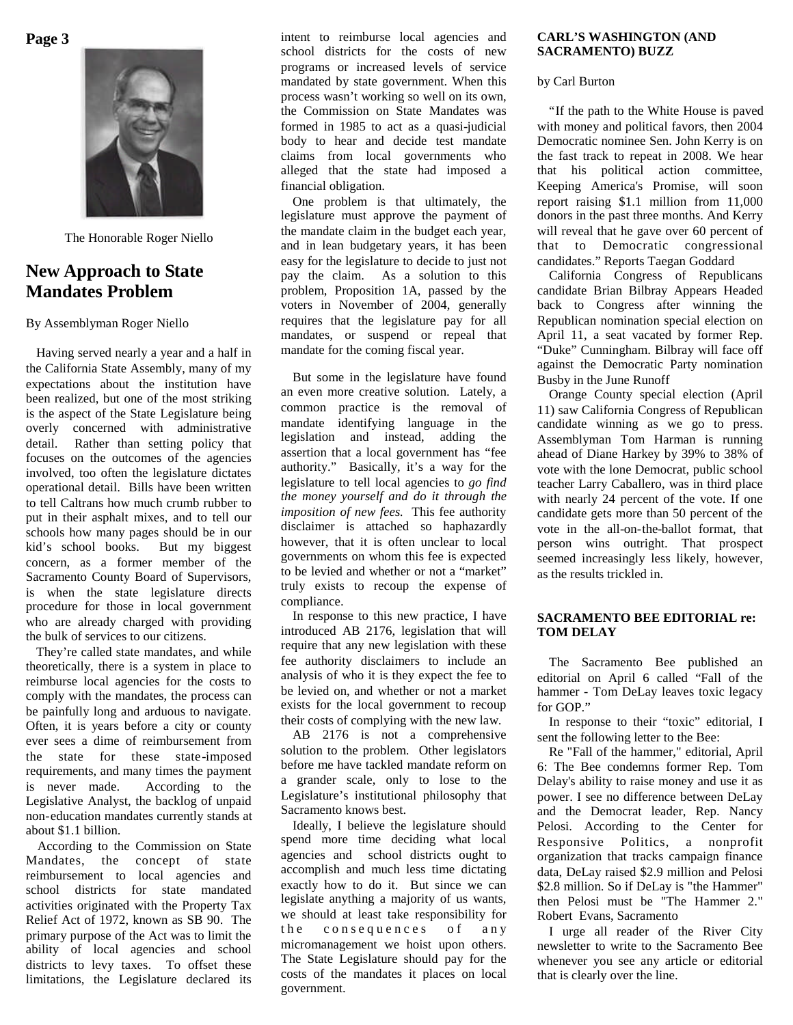**Page 3**



The Honorable Roger Niello

# **New Approach to State Mandates Problem**

## By Assemblyman Roger Niello

Having served nearly a year and a half in the California State Assembly, many of my expectations about the institution have been realized, but one of the most striking is the aspect of the State Legislature being overly concerned with administrative detail. Rather than setting policy that focuses on the outcomes of the agencies involved, too often the legislature dictates operational detail. Bills have been written to tell Caltrans how much crumb rubber to put in their asphalt mixes, and to tell our schools how many pages should be in our kid's school books. But my biggest concern, as a former member of the Sacramento County Board of Supervisors, is when the state legislature directs procedure for those in local government who are already charged with providing the bulk of services to our citizens.

They're called state mandates, and while theoretically, there is a system in place to reimburse local agencies for the costs to comply with the mandates, the process can be painfully long and arduous to navigate. Often, it is years before a city or county ever sees a dime of reimbursement from the state for these state-imposed requirements, and many times the payment is never made. According to the Legislative Analyst, the backlog of unpaid non-education mandates currently stands at about \$1.1 billion.

According to the Commission on State Mandates, the concept of state reimbursement to local agencies and school districts for state mandated activities originated with the Property Tax Relief Act of 1972, known as SB 90. The primary purpose of the Act was to limit the ability of local agencies and school districts to levy taxes. To offset these limitations, the Legislature declared its intent to reimburse local agencies and school districts for the costs of new programs or increased levels of service mandated by state government. When this process wasn't working so well on its own, the Commission on State Mandates was formed in 1985 to act as a quasi-judicial body to hear and decide test mandate claims from local governments who alleged that the state had imposed a financial obligation.

One problem is that ultimately, the legislature must approve the payment of the mandate claim in the budget each year, and in lean budgetary years, it has been easy for the legislature to decide to just not pay the claim. As a solution to this problem, Proposition 1A, passed by the voters in November of 2004, generally requires that the legislature pay for all mandates, or suspend or repeal that mandate for the coming fiscal year.

But some in the legislature have found an even more creative solution. Lately, a common practice is the removal of mandate identifying language in the legislation and instead, adding the assertion that a local government has "fee authority." Basically, it's a way for the legislature to tell local agencies to *go find the money yourself and do it through the imposition of new fees.* This fee authority disclaimer is attached so haphazardly however, that it is often unclear to local governments on whom this fee is expected to be levied and whether or not a "market" truly exists to recoup the expense of compliance.

In response to this new practice, I have introduced AB 2176, legislation that will require that any new legislation with these fee authority disclaimers to include an analysis of who it is they expect the fee to be levied on, and whether or not a market exists for the local government to recoup their costs of complying with the new law.

AB 2176 is not a comprehensive solution to the problem. Other legislators before me have tackled mandate reform on a grander scale, only to lose to the Legislature's institutional philosophy that Sacramento knows best.

Ideally, I believe the legislature should spend more time deciding what local agencies and school districts ought to accomplish and much less time dictating exactly how to do it. But since we can legislate anything a majority of us wants, we should at least take responsibility for the consequences of any micromanagement we hoist upon others. The State Legislature should pay for the costs of the mandates it places on local government.

## **CARL'S WASHINGTON (AND SACRAMENTO) BUZZ**

by Carl Burton

"If the path to the White House is paved with money and political favors, then 2004 Democratic nominee Sen. John Kerry is on the fast track to repeat in 2008. We hear that his political action committee, Keeping America's Promise, will soon report raising \$1.1 million from 11,000 donors in the past three months. And Kerry will reveal that he gave over 60 percent of that to Democratic congressional candidates." Reports Taegan Goddard

California Congress of Republicans candidate Brian Bilbray Appears Headed back to Congress after winning the Republican nomination special election on April 11, a seat vacated by former Rep. "Duke" Cunningham. Bilbray will face off against the Democratic Party nomination Busby in the June Runoff

Orange County special election (April 11) saw California Congress of Republican candidate winning as we go to press. Assemblyman Tom Harman is running ahead of Diane Harkey by 39% to 38% of vote with the lone Democrat, public school teacher Larry Caballero, was in third place with nearly 24 percent of the vote. If one candidate gets more than 50 percent of the vote in the all-on-the-ballot format, that person wins outright. That prospect seemed increasingly less likely, however, as the results trickled in.

## **SACRAMENTO BEE EDITORIAL re: TOM DELAY**

The Sacramento Bee published an editorial on April 6 called "Fall of the hammer - Tom DeLay leaves toxic legacy for GOP."

In response to their "toxic" editorial, I sent the following letter to the Bee:

Re "Fall of the hammer," editorial, April 6: The Bee condemns former Rep. Tom Delay's ability to raise money and use it as power. I see no difference between DeLay and the Democrat leader, Rep. Nancy Pelosi. According to the Center for Responsive Politics, a nonprofit organization that tracks campaign finance data, DeLay raised \$2.9 million and Pelosi \$2.8 million. So if DeLay is "the Hammer" then Pelosi must be "The Hammer 2." Robert Evans, Sacramento

I urge all reader of the River City newsletter to write to the Sacramento Bee whenever you see any article or editorial that is clearly over the line.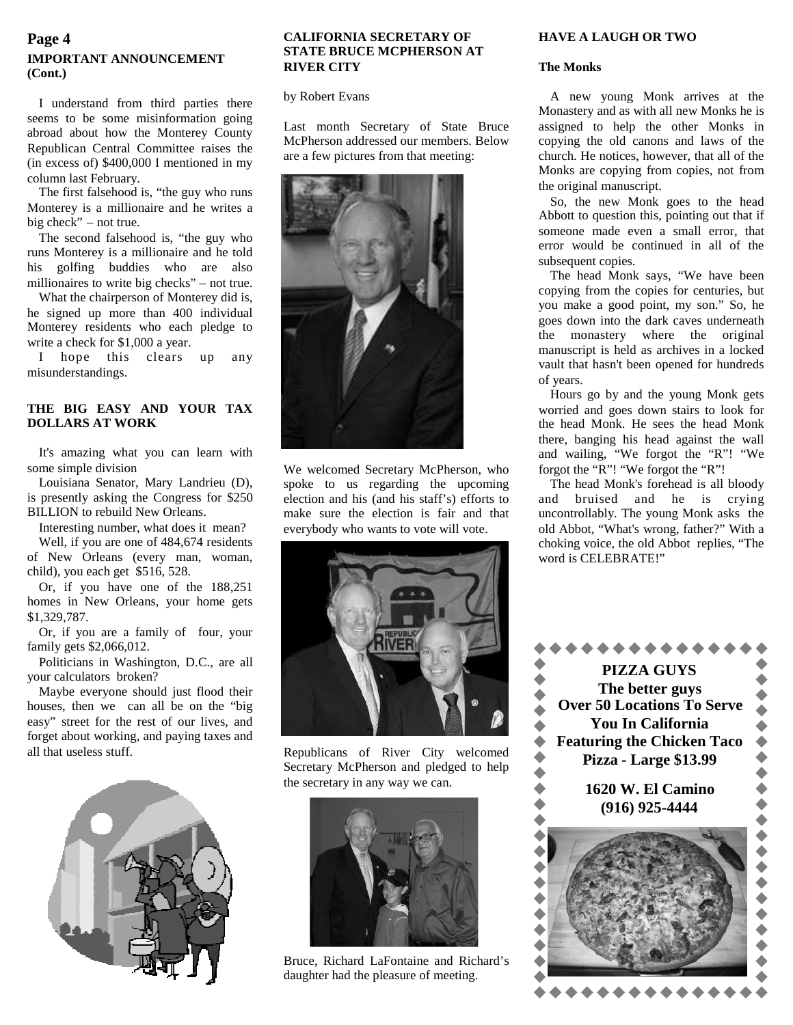# **IMPORTANT ANNOUNCEMENT (Cont.)**

I understand from third parties there seems to be some misinformation going abroad about how the Monterey County Republican Central Committee raises the (in excess of) \$400,000 I mentioned in my column last February.

The first falsehood is, "the guy who runs Monterey is a millionaire and he writes a big check" – not true.

The second falsehood is, "the guy who runs Monterey is a millionaire and he told his golfing buddies who are also millionaires to write big checks" – not true.

What the chairperson of Monterey did is, he signed up more than 400 individual Monterey residents who each pledge to write a check for \$1,000 a year.

I hope this clears up any misunderstandings.

## **THE BIG EASY AND YOUR TAX DOLLARS AT WORK**

It's amazing what you can learn with some simple division

Louisiana Senator, Mary Landrieu (D), is presently asking the Congress for \$250 BILLION to rebuild New Orleans.

Interesting number, what does it mean? Well, if you are one of 484,674 residents of New Orleans (every man, woman, child), you each get \$516, 528.

Or, if you have one of the 188,251 homes in New Orleans, your home gets \$1,329,787.

Or, if you are a family of four, your family gets \$2,066,012.

Politicians in Washington, D.C., are all your calculators broken?

Maybe everyone should just flood their houses, then we can all be on the "big easy" street for the rest of our lives, and forget about working, and paying taxes and all that useless stuff.



## **CALIFORNIA SECRETARY OF HAVE A LAUGH OR TWO STATE BRUCE MCPHERSON AT RIVER CITY**

by Robert Evans

Last month Secretary of State Bruce McPherson addressed our members. Below are a few pictures from that meeting:



We welcomed Secretary McPherson, who spoke to us regarding the upcoming election and his (and his staff's) efforts to make sure the election is fair and that everybody who wants to vote will vote.



Republicans of River City welcomed Secretary McPherson and pledged to help the secretary in any way we can.



Bruce, Richard LaFontaine and Richard's daughter had the pleasure of meeting.

## **The Monks**

A new young Monk arrives at the Monastery and as with all new Monks he is assigned to help the other Monks in copying the old canons and laws of the church. He notices, however, that all of the Monks are copying from copies, not from the original manuscript.

So, the new Monk goes to the head Abbott to question this, pointing out that if someone made even a small error, that error would be continued in all of the subsequent copies.

The head Monk says, "We have been copying from the copies for centuries, but you make a good point, my son." So, he goes down into the dark caves underneath the monastery where the original manuscript is held as archives in a locked vault that hasn't been opened for hundreds of years.

Hours go by and the young Monk gets worried and goes down stairs to look for the head Monk. He sees the head Monk there, banging his head against the wall and wailing, "We forgot the "R"! "We forgot the "R"! "We forgot the "R"!

The head Monk's forehead is all bloody and bruised and he is crying uncontrollably. The young Monk asks the old Abbot, "What's wrong, father?" With a choking voice, the old Abbot replies, "The word is CELEBRATE!"

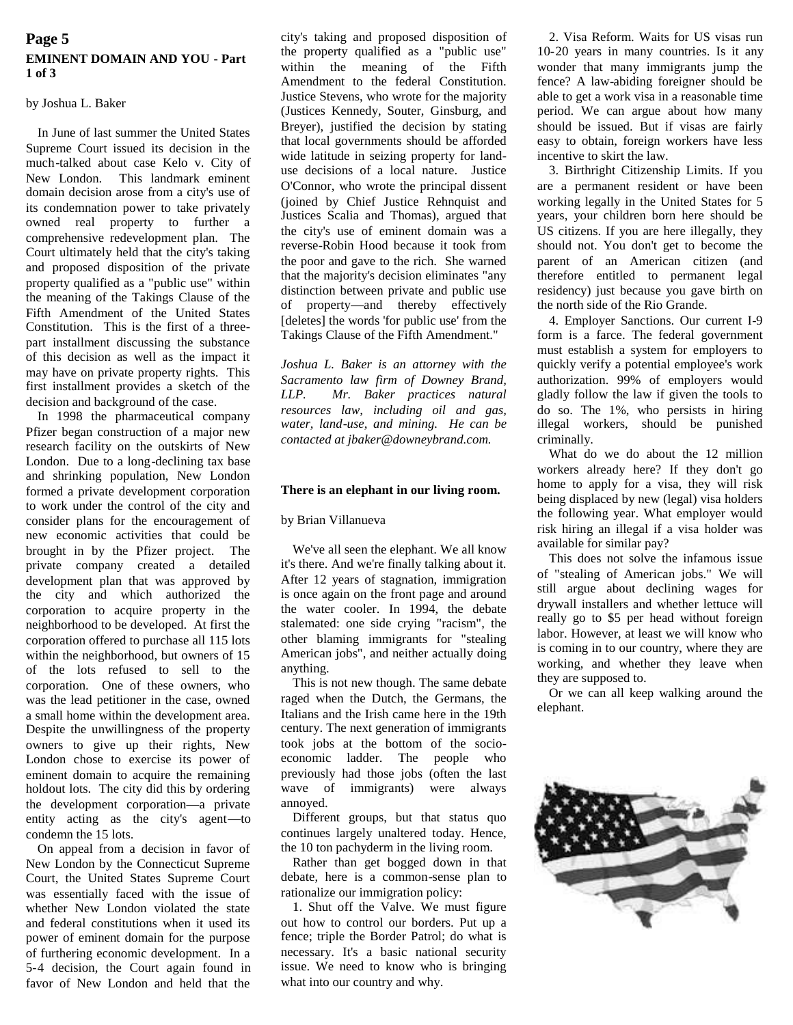## **Page 5 EMINENT DOMAIN AND YOU - Part 1 of 3**

## by Joshua L. Baker

In June of last summer the United States Supreme Court issued its decision in the much-talked about case Kelo v. City of New London. This landmark eminent domain decision arose from a city's use of its condemnation power to take privately owned real property to further a comprehensive redevelopment plan. The Court ultimately held that the city's taking and proposed disposition of the private property qualified as a "public use" within the meaning of the Takings Clause of the Fifth Amendment of the United States Constitution. This is the first of a threepart installment discussing the substance of this decision as well as the impact it may have on private property rights. This first installment provides a sketch of the decision and background of the case.

In 1998 the pharmaceutical company Pfizer began construction of a major new research facility on the outskirts of New London. Due to a long-declining tax base and shrinking population, New London formed a private development corporation to work under the control of the city and consider plans for the encouragement of new economic activities that could be brought in by the Pfizer project. The private company created a detailed development plan that was approved by the city and which authorized the corporation to acquire property in the neighborhood to be developed. At first the corporation offered to purchase all 115 lots within the neighborhood, but owners of 15 of the lots refused to sell to the corporation. One of these owners, who was the lead petitioner in the case, owned a small home within the development area. Despite the unwillingness of the property owners to give up their rights, New London chose to exercise its power of eminent domain to acquire the remaining holdout lots. The city did this by ordering the development corporation—a private entity acting as the city's agent—to condemn the 15 lots.

On appeal from a decision in favor of New London by the Connecticut Supreme Court, the United States Supreme Court was essentially faced with the issue of whether New London violated the state and federal constitutions when it used its power of eminent domain for the purpose of furthering economic development. In a 5-4 decision, the Court again found in favor of New London and held that the

city's taking and proposed disposition of the property qualified as a "public use" within the meaning of the Fifth Amendment to the federal Constitution. Justice Stevens, who wrote for the majority (Justices Kennedy, Souter, Ginsburg, and Breyer), justified the decision by stating that local governments should be afforded wide latitude in seizing property for landuse decisions of a local nature. Justice O'Connor, who wrote the principal dissent (joined by Chief Justice Rehnquist and Justices Scalia and Thomas), argued that the city's use of eminent domain was a reverse-Robin Hood because it took from the poor and gave to the rich. She warned that the majority's decision eliminates "any distinction between private and public use of property—and thereby effectively [deletes] the words 'for public use' from the Takings Clause of the Fifth Amendment."

*Joshua L. Baker is an attorney with the Sacramento law firm of Downey Brand, LLP. Mr. Baker practices natural resources law, including oil and gas, water, land-use, and mining. He can be contacted at jbaker@downeybrand.com.*

## **There is an elephant in our living room.**

## by Brian Villanueva

We've all seen the elephant. We all know it's there. And we're finally talking about it. After 12 years of stagnation, immigration is once again on the front page and around the water cooler. In 1994, the debate stalemated: one side crying "racism", the other blaming immigrants for "stealing American jobs", and neither actually doing anything.

This is not new though. The same debate raged when the Dutch, the Germans, the Italians and the Irish came here in the 19th century. The next generation of immigrants took jobs at the bottom of the socioeconomic ladder. The people who previously had those jobs (often the last wave of immigrants) were always annoyed.

Different groups, but that status quo continues largely unaltered today. Hence, the 10 ton pachyderm in the living room.

Rather than get bogged down in that debate, here is a common-sense plan to rationalize our immigration policy:

1. Shut off the Valve. We must figure out how to control our borders. Put up a fence; triple the Border Patrol; do what is necessary. It's a basic national security issue. We need to know who is bringing what into our country and why.

2. Visa Reform. Waits for US visas run 10-20 years in many countries. Is it any wonder that many immigrants jump the fence? A law-abiding foreigner should be able to get a work visa in a reasonable time period. We can argue about how many should be issued. But if visas are fairly easy to obtain, foreign workers have less incentive to skirt the law.

3. Birthright Citizenship Limits. If you are a permanent resident or have been working legally in the United States for 5 years, your children born here should be US citizens. If you are here illegally, they should not. You don't get to become the parent of an American citizen (and therefore entitled to permanent legal residency) just because you gave birth on the north side of the Rio Grande.

4. Employer Sanctions. Our current I-9 form is a farce. The federal government must establish a system for employers to quickly verify a potential employee's work authorization. 99% of employers would gladly follow the law if given the tools to do so. The 1%, who persists in hiring illegal workers, should be punished criminally.

What do we do about the 12 million workers already here? If they don't go home to apply for a visa, they will risk being displaced by new (legal) visa holders the following year. What employer would risk hiring an illegal if a visa holder was available for similar pay?

This does not solve the infamous issue of "stealing of American jobs." We will still argue about declining wages for drywall installers and whether lettuce will really go to \$5 per head without foreign labor. However, at least we will know who is coming in to our country, where they are working, and whether they leave when they are supposed to.

Or we can all keep walking around the elephant.

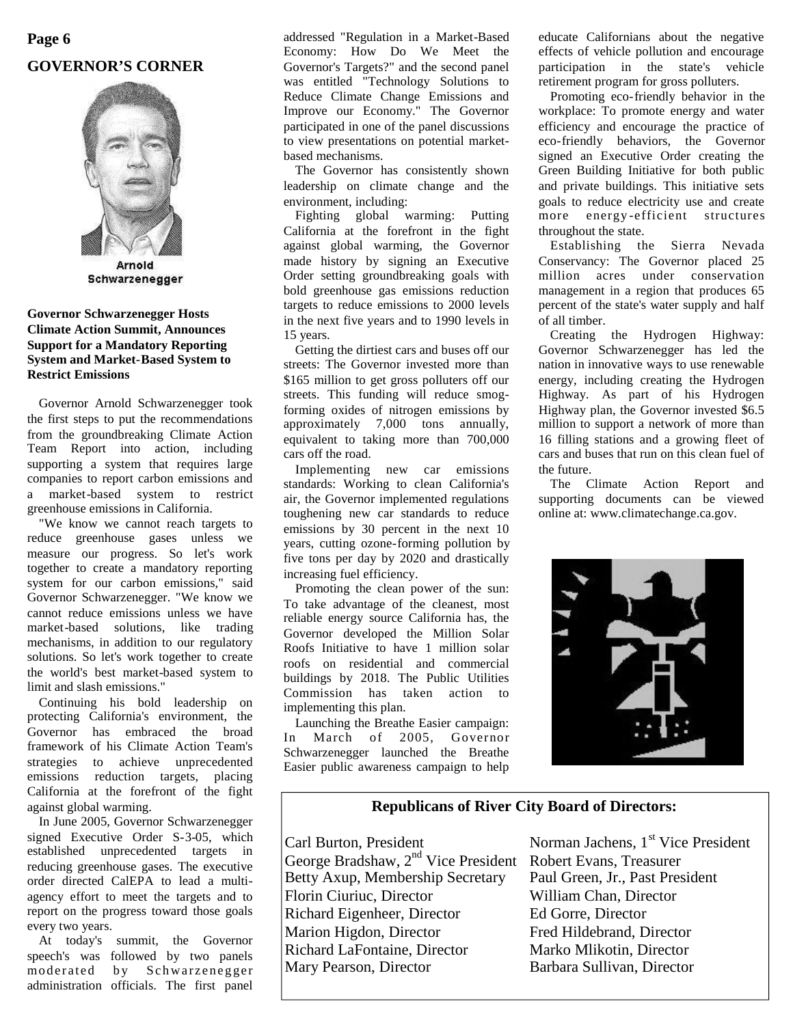# **Page 6 GOVERNOR'S CORNER**



Schwarzenegger

## **Governor Schwarzenegger Hosts Climate Action Summit, Announces Support for a Mandatory Reporting System and Market-Based System to Restrict Emissions**

Governor Arnold Schwarzenegger took the first steps to put the recommendations from the groundbreaking Climate Action Team Report into action, including supporting a system that requires large companies to report carbon emissions and a market-based system to restrict greenhouse emissions in California.

"We know we cannot reach targets to reduce greenhouse gases unless we measure our progress. So let's work together to create a mandatory reporting system for our carbon emissions," said Governor Schwarzenegger. "We know we cannot reduce emissions unless we have market-based solutions, like trading mechanisms, in addition to our regulatory solutions. So let's work together to create the world's best market-based system to limit and slash emissions."

Continuing his bold leadership on protecting California's environment, the Governor has embraced the broad framework of his Climate Action Team's strategies to achieve unprecedented emissions reduction targets, placing California at the forefront of the fight against global warming.

In June 2005, Governor Schwarzenegger signed Executive Order S-3-05, which established unprecedented targets in reducing greenhouse gases. The executive order directed CalEPA to lead a multiagency effort to meet the targets and to report on the progress toward those goals every two years.

At today's summit, the Governor speech's was followed by two panels moderated by Schwarzenegger administration officials. The first panel

addressed "Regulation in a Market-Based Economy: How Do We Meet the Governor's Targets?" and the second panel was entitled "Technology Solutions to Reduce Climate Change Emissions and Improve our Economy." The Governor participated in one of the panel discussions to view presentations on potential marketbased mechanisms.

The Governor has consistently shown leadership on climate change and the environment, including:

Fighting global warming: Putting California at the forefront in the fight against global warming, the Governor made history by signing an Executive Order setting groundbreaking goals with bold greenhouse gas emissions reduction targets to reduce emissions to 2000 levels in the next five years and to 1990 levels in 15 years.

Getting the dirtiest cars and buses off our streets: The Governor invested more than \$165 million to get gross polluters off our streets. This funding will reduce smogforming oxides of nitrogen emissions by approximately 7,000 tons annually, equivalent to taking more than 700,000 cars off the road.

Implementing new car emissions standards: Working to clean California's air, the Governor implemented regulations toughening new car standards to reduce emissions by 30 percent in the next 10 years, cutting ozone-forming pollution by five tons per day by 2020 and drastically increasing fuel efficiency.

Promoting the clean power of the sun: To take advantage of the cleanest, most reliable energy source California has, the Governor developed the Million Solar Roofs Initiative to have 1 million solar roofs on residential and commercial buildings by 2018. The Public Utilities Commission has taken action to implementing this plan.

Launching the Breathe Easier campaign: In March of 2005, Governor Schwarzenegger launched the Breathe Easier public awareness campaign to help educate Californians about the negative effects of vehicle pollution and encourage participation in the state's vehicle retirement program for gross polluters.

Promoting eco-friendly behavior in the workplace: To promote energy and water efficiency and encourage the practice of eco-friendly behaviors, the Governor signed an Executive Order creating the Green Building Initiative for both public and private buildings. This initiative sets goals to reduce electricity use and create more energy -efficient structures throughout the state.

Establishing the Sierra Nevada Conservancy: The Governor placed 25 million acres under conservation management in a region that produces 65 percent of the state's water supply and half of all timber.

Creating the Hydrogen Highway: Governor Schwarzenegger has led the nation in innovative ways to use renewable energy, including creating the Hydrogen Highway. As part of his Hydrogen Highway plan, the Governor invested \$6.5 million to support a network of more than 16 filling stations and a growing fleet of cars and buses that run on this clean fuel of the future.

The Climate Action Report and supporting documents can be viewed online at: www.climatechange.ca.gov.



## **Republicans of River City Board of Directors:**

George Bradshaw, 2<sup>nd</sup> Vice President Robert Evans, Treasurer Betty Axup, Membership Secretary Paul Green, Jr., Past President Florin Ciuriuc, Director William Chan, Director Richard Eigenheer, Director Ed Gorre, Director Marion Higdon, Director Fred Hildebrand, Director Richard LaFontaine, Director Marko Mlikotin, Director Mary Pearson, Director Barbara Sullivan, Director

Carl Burton, President Norman Jachens, 1<sup>st</sup> Vice President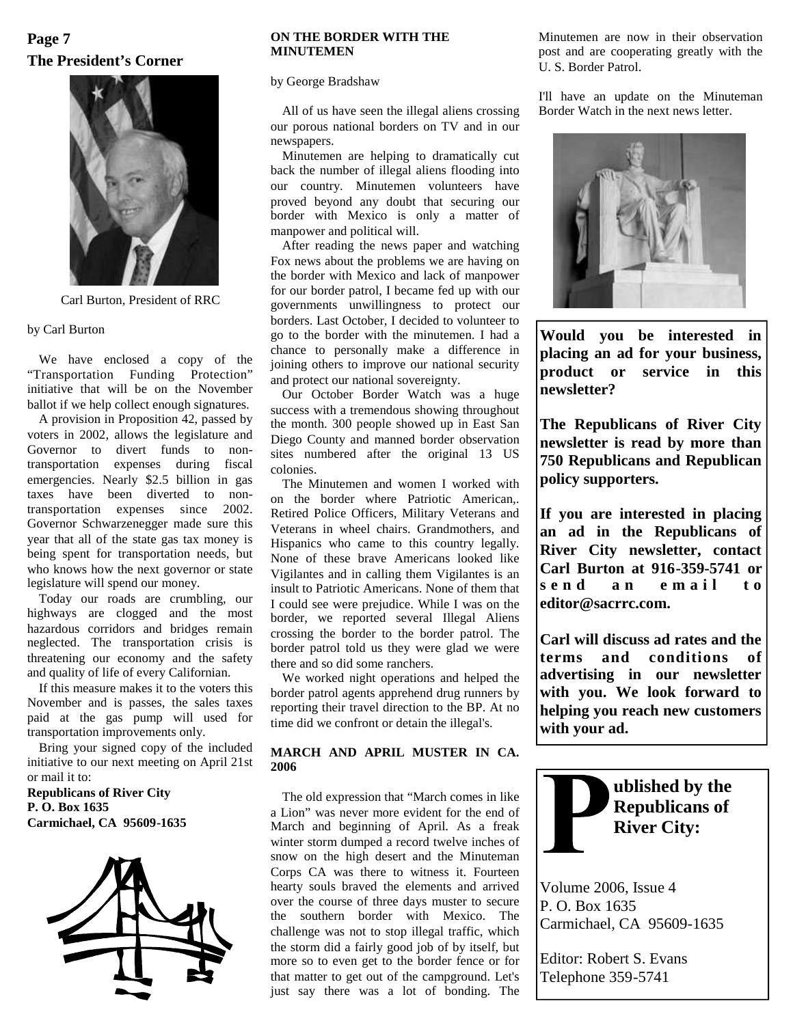# **The President's Corner Page 7**



Carl Burton, President of RRC

### by Carl Burton

We have enclosed a copy of the "Transportation Funding Protection" initiative that will be on the November ballot if we help collect enough signatures.

A provision in Proposition 42, passed by voters in 2002, allows the legislature and Governor to divert funds to nontransportation expenses during fiscal emergencies. Nearly \$2.5 billion in gas taxes have been diverted to nontransportation expenses since 2002. Governor Schwarzenegger made sure this year that all of the state gas tax money is being spent for transportation needs, but who knows how the next governor or state legislature will spend our money.

Today our roads are crumbling, our highways are clogged and the most hazardous corridors and bridges remain neglected. The transportation crisis is threatening our economy and the safety and quality of life of every Californian.

If this measure makes it to the voters this November and is passes, the sales taxes paid at the gas pump will used for transportation improvements only.

Bring your signed copy of the included initiative to our next meeting on April 21st or mail it to:

**Republicans of River City P. O. Box 1635 Carmichael, CA 95609-1635**



## **ON THE BORDER WITH THE MINUTEMEN**

by George Bradshaw

All of us have seen the illegal aliens crossing our porous national borders on TV and in our newspapers.

Minutemen are helping to dramatically cut back the number of illegal aliens flooding into our country. Minutemen volunteers have proved beyond any doubt that securing our border with Mexico is only a matter of manpower and political will.

After reading the news paper and watching Fox news about the problems we are having on the border with Mexico and lack of manpower for our border patrol, I became fed up with our governments unwillingness to protect our borders. Last October, I decided to volunteer to go to the border with the minutemen. I had a chance to personally make a difference in joining others to improve our national security and protect our national sovereignty.

Our October Border Watch was a huge success with a tremendous showing throughout the month. 300 people showed up in East San Diego County and manned border observation sites numbered after the original 13 US colonies.

The Minutemen and women I worked with on the border where Patriotic American,. Retired Police Officers, Military Veterans and Veterans in wheel chairs. Grandmothers, and Hispanics who came to this country legally. None of these brave Americans looked like Vigilantes and in calling them Vigilantes is an  $\begin{bmatrix} \text{CAT} & \text{D} \\ \text{S} & \text{P} & \text{R} \end{bmatrix}$ insult to Patriotic Americans. None of them that I could see were prejudice. While I was on the border, we reported several Illegal Aliens crossing the border to the border patrol. The border patrol told us they were glad we were there and so did some ranchers.

We worked night operations and helped the border patrol agents apprehend drug runners by reporting their travel direction to the BP. At no time did we confront or detain the illegal's.

## **MARCH AND APRIL MUSTER IN CA. 2006**

The old expression that "March comes in like a Lion" was never more evident for the end of March and beginning of April. As a freak winter storm dumped a record twelve inches of snow on the high desert and the Minuteman Corps CA was there to witness it. Fourteen hearty souls braved the elements and arrived over the course of three days muster to secure the southern border with Mexico. The challenge was not to stop illegal traffic, which the storm did a fairly good job of by itself, but more so to even get to the border fence or for that matter to get out of the campground. Let's just say there was a lot of bonding. The

Minutemen are now in their observation post and are cooperating greatly with the U. S. Border Patrol.

I'll have an update on the Minuteman Border Watch in the next news letter.



**Would you be interested in placing an ad for your business, product or service in this newsletter?**

**The Republicans of River City newsletter is read by more than 750 Republicans and Republican policy supporters.**

**If you are interested in placing an ad in the Republicans of River City newsletter, contact Carl Burton at 916-359-5741 or s e n d a n e m a i l t o editor@sacrrc.com.**

**Carl will discuss ad rates and the terms and conditions of advertising in our newsletter with you. We look forward to helping you reach new customers with your ad.**



Volume 2006, Issue 4

P. O. Box 1635 Carmichael, CA 95609-1635

Editor: Robert S. Evans Telephone 359-5741